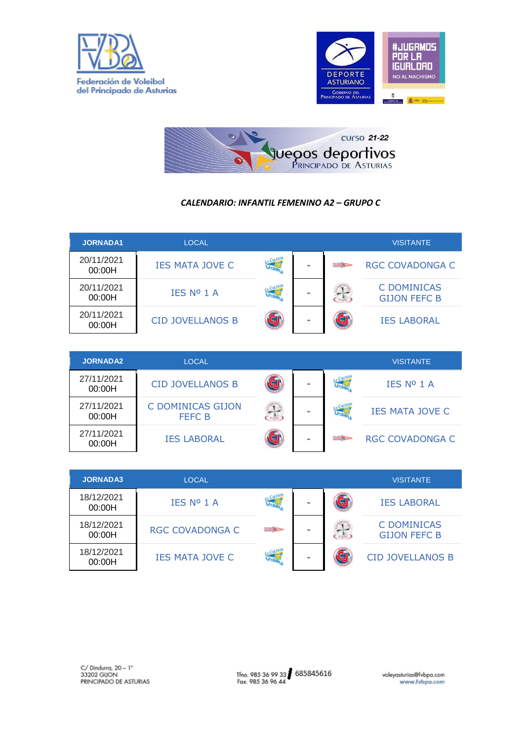





## *CALENDARIO: INFANTIL FEMENINO A2 – GRUPO C*

|                      |                         |                      |          |      | <b>VISITANTE</b>                   |
|----------------------|-------------------------|----------------------|----------|------|------------------------------------|
| 20/11/2021<br>00:00H | <b>IES MATA JOVE C</b>  | $J_{\overline{100}}$ | $\equiv$ |      | RGC COVADONGA C                    |
| 20/11/2021<br>00:00H | IES Nº 1 A              | J-A                  | $\equiv$ | - 22 | C DOMINICAS<br><b>GIJON FEFC B</b> |
| 20/11/2021<br>00:00H | <b>CID JOVELLANOS B</b> |                      |          |      | <b>IES LABORAL</b>                 |

| <b>JORNADA2</b>      | <b>LOCAL</b>                       |          | <b>VISITANTE</b>       |
|----------------------|------------------------------------|----------|------------------------|
| 27/11/2021<br>00:00H | <b>CID JOVELLANOS B</b>            | $\equiv$ | IES Nº 1 A             |
| 27/11/2021<br>00:00H | C DOMINICAS GIJON<br><b>FEFC B</b> | $\equiv$ | <b>IES MATA JOVE C</b> |
| 27/11/2021<br>00:00H | <b>IES LABORAL</b>                 | $\equiv$ | <b>RGC COVADONGA C</b> |

| <b>JORNADA3</b>      | <b>LOCAL</b>           |                |        | <b>VISITANTE</b>                          |
|----------------------|------------------------|----------------|--------|-------------------------------------------|
| 18/12/2021<br>00:00H | IES Nº 1 A             |                | $\sim$ | <b>IES LABORAL</b>                        |
| 18/12/2021<br>00:00H | <b>RGC COVADONGA C</b> | <b>Barbara</b> | $\sim$ | <b>C DOMINICAS</b><br><b>GIJON FEFC B</b> |
| 18/12/2021<br>00:00H | <b>IES MATA JOVE C</b> |                |        | <b>CID JOVELLANOS B</b>                   |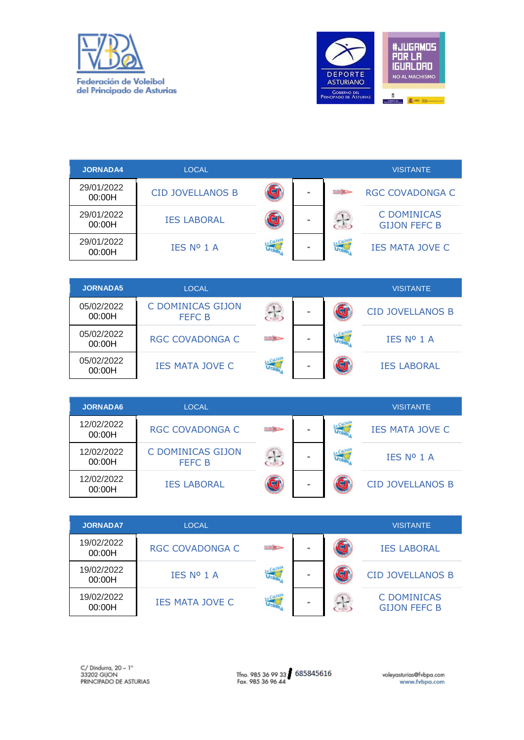



| <b>JORNADA4</b>      | <b>LOCAL</b>                       |                  |                    | <b>VISITANTE</b>                   |
|----------------------|------------------------------------|------------------|--------------------|------------------------------------|
| 29/01/2022<br>00:00H | <b>CID JOVELLANOS B</b>            |                  | <b>FIRST BUILT</b> | <b>RGC COVADONGA C</b>             |
| 29/01/2022<br>00:00H | <b>IES LABORAL</b>                 |                  | 운                  | C DOMINICAS<br><b>GIJON FEFC B</b> |
| 29/01/2022<br>00:00H | IES Nº 1 A                         |                  | 偏                  | <b>IES MATA JOVE C</b>             |
|                      |                                    |                  |                    |                                    |
|                      |                                    |                  |                    |                                    |
| <b>JORNADA5</b>      | <b>LOCAL</b>                       |                  |                    | <b>VISITANTE</b>                   |
| 05/02/2022<br>00:00H | C DOMINICAS GIJON<br><b>FEFC B</b> | $\sigma_{\rm s}$ |                    | <b>CID JOVELLANOS B</b>            |
| 05/02/2022<br>00:00H | <b>RGC COVADONGA C</b>             | <b>BAR KOR</b>   |                    | IES Nº 1 A                         |
| 05/02/2022<br>00:00H | <b>IES MATA JOVE C</b>             | CALLADA          |                    | <b>IES LABORAL</b>                 |

| <b>JORNADA6</b>      | <b>LOCAL</b>                       |                  |  | <b>VISITANTE</b>        |
|----------------------|------------------------------------|------------------|--|-------------------------|
| 12/02/2022<br>00:00H | <b>RGC COVADONGA C</b>             | <b>Built Bar</b> |  | <b>IES MATA JOVE C</b>  |
| 12/02/2022<br>00:00H | C DOMINICAS GIJON<br><b>FEFC B</b> |                  |  | IES Nº 1 A              |
| 12/02/2022<br>00:00H | <b>IES LABORAL</b>                 |                  |  | <b>CID JOVELLANOS B</b> |

| <b>JORNADA7</b>      | <b>LOCAL</b>           |               |            | <b>VISITANTE</b>                          |
|----------------------|------------------------|---------------|------------|-------------------------------------------|
| 19/02/2022<br>00:00H | <b>RGC COVADONGA C</b> | <b>Burnet</b> |            | <b>IES LABORAL</b>                        |
| 19/02/2022<br>00:00H | IES Nº 1 A             |               |            | <b>CID JOVELLANOS B</b>                   |
| 19/02/2022<br>00:00H | <b>IES MATA JOVE C</b> |               | <b>COL</b> | <b>C DOMINICAS</b><br><b>GIJON FEFC B</b> |